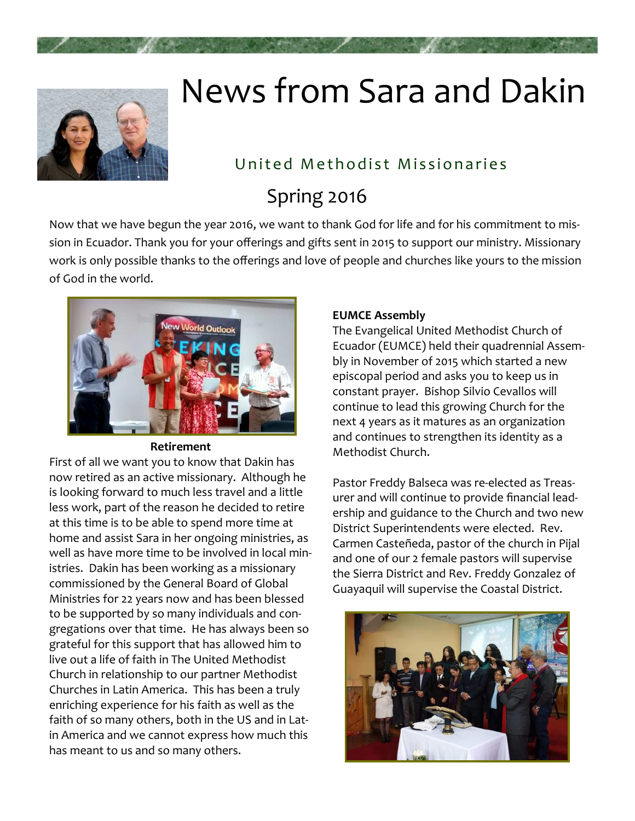

# News from Sara and Dakin

## United Methodist Missionaries

## Spring 2016

Now that we have begun the year 2016, we want to thank God for life and for his commitment to mis‐ sion in Ecuador. Thank you for your offerings and gifts sent in 2015 to support our ministry. Missionary work is only possible thanks to the offerings and love of people and churches like yours to the mission of God in the world.



#### **Retirement**

First of all we want you to know that Dakin has now retired as an active missionary. Although he is looking forward to much less travel and a little less work, part of the reason he decided to retire at this time is to be able to spend more time at home and assist Sara in her ongoing ministries, as well as have more time to be involved in local ministries. Dakin has been working as a missionary commissioned by the General Board of Global Ministries for 22 years now and has been blessed to be supported by so many individuals and con‐ gregations over that time. He has always been so grateful for this support that has allowed him to live out a life of faith in The United Methodist Church in relationship to our partner Methodist Churches in Latin America. This has been a truly enriching experience for his faith as well as the faith of so many others, both in the US and in Lat‐ in America and we cannot express how much this has meant to us and so many others.

#### **EUMCE Assembly**

The Evangelical United Methodist Church of Ecuador (EUMCE) held their quadrennial Assem‐ bly in November of 2015 which started a new episcopal period and asks you to keep us in constant prayer. Bishop Silvio Cevallos will continue to lead this growing Church for the next 4 years as it matures as an organization and continues to strengthen its identity as a Methodist Church.

Pastor Freddy Balseca was re‐elected as Treas‐ urer and will continue to provide financial lead‐ ership and guidance to the Church and two new District Superintendents were elected. Rev. Carmen Casteñeda, pastor of the church in Pijal and one of our 2 female pastors will supervise the Sierra District and Rev. Freddy Gonzalez of Guayaquil will supervise the Coastal District.

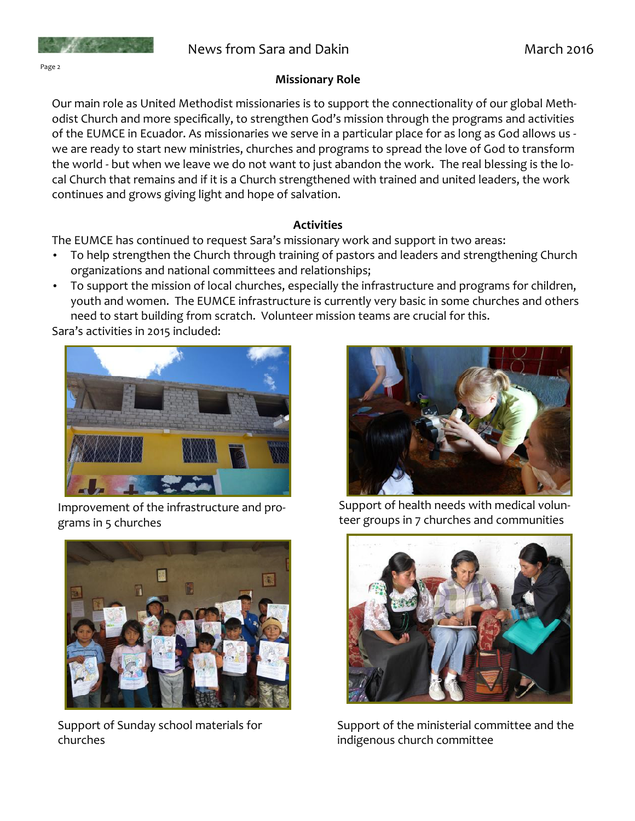#### Page 2

#### **Missionary Role**

Our main role as United Methodist missionaries is to support the connectionality of our global Meth‐ odist Church and more specifically, to strengthen God's mission through the programs and activities of the EUMCE in Ecuador. As missionaries we serve in a particular place for as long as God allows us ‐ we are ready to start new ministries, churches and programs to spread the love of God to transform the world - but when we leave we do not want to just abandon the work. The real blessing is the local Church that remains and if it is a Church strengthened with trained and united leaders, the work continues and grows giving light and hope of salvation.

#### **Activities**

The EUMCE has continued to request Sara's missionary work and support in two areas:

- To help strengthen the Church through training of pastors and leaders and strengthening Church organizations and national committees and relationships;
- To support the mission of local churches, especially the infrastructure and programs for children, youth and women. The EUMCE infrastructure is currently very basic in some churches and others need to start building from scratch. Volunteer mission teams are crucial for this.

Sara's activities in 2015 included:



Improvement of the infrastructure and pro‐ grams in 5 churches



Support of Sunday school materials for churches



Support of health needs with medical volun‐ teer groups in 7 churches and communities



Support of the ministerial committee and the indigenous church committee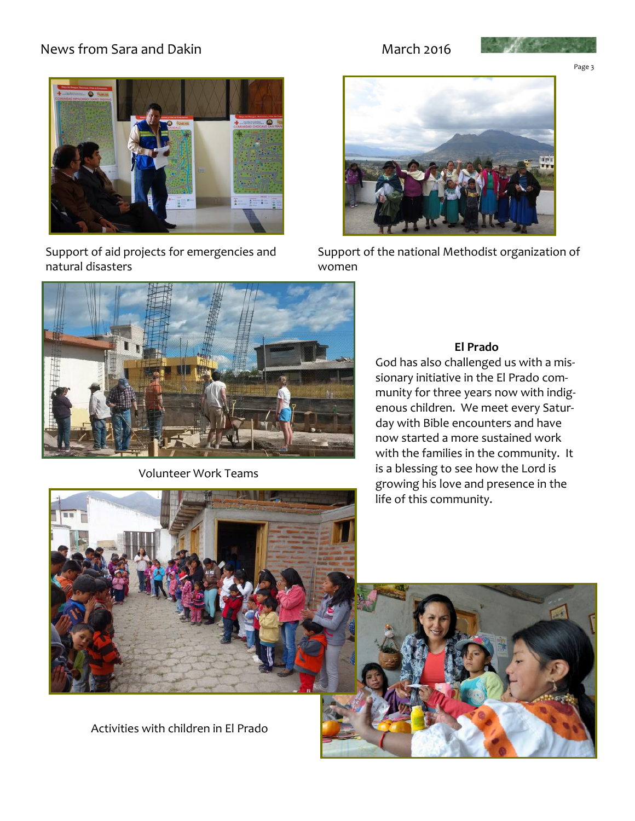#### News from Sara and Dakin March 2016



Support of aid projects for emergencies and natural disasters





Page 3



Support of the national Methodist organization of women



Volunteer Work Teams

#### **El Prado**

God has also challenged us with a mis‐ sionary initiative in the El Prado com‐ munity for three years now with indig‐ enous children. We meet every Satur‐ day with Bible encounters and have now started a more sustained work with the families in the community. It is a blessing to see how the Lord is growing his love and presence in the life of this community.





Activities with children in El Prado